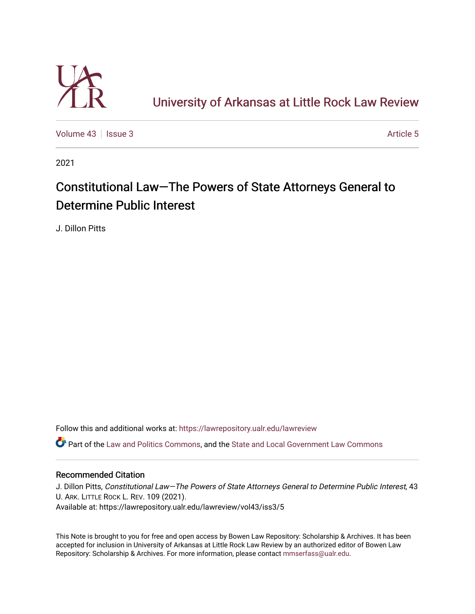

# [University of Arkansas at Little Rock Law Review](https://lawrepository.ualr.edu/lawreview)

[Volume 43](https://lawrepository.ualr.edu/lawreview/vol43) | [Issue 3](https://lawrepository.ualr.edu/lawreview/vol43/iss3) Article 5

2021

# Constitutional Law–The Powers of State Attorneys General to Determine Public Interest

J. Dillon Pitts

Follow this and additional works at: [https://lawrepository.ualr.edu/lawreview](https://lawrepository.ualr.edu/lawreview?utm_source=lawrepository.ualr.edu%2Flawreview%2Fvol43%2Fiss3%2F5&utm_medium=PDF&utm_campaign=PDFCoverPages) 

Part of the [Law and Politics Commons,](https://network.bepress.com/hgg/discipline/867?utm_source=lawrepository.ualr.edu%2Flawreview%2Fvol43%2Fiss3%2F5&utm_medium=PDF&utm_campaign=PDFCoverPages) and the [State and Local Government Law Commons](https://network.bepress.com/hgg/discipline/879?utm_source=lawrepository.ualr.edu%2Flawreview%2Fvol43%2Fiss3%2F5&utm_medium=PDF&utm_campaign=PDFCoverPages) 

## Recommended Citation

J. Dillon Pitts, Constitutional Law—The Powers of State Attorneys General to Determine Public Interest, 43 U. ARK. LITTLE ROCK L. REV. 109 (2021). Available at: https://lawrepository.ualr.edu/lawreview/vol43/iss3/5

This Note is brought to you for free and open access by Bowen Law Repository: Scholarship & Archives. It has been accepted for inclusion in University of Arkansas at Little Rock Law Review by an authorized editor of Bowen Law Repository: Scholarship & Archives. For more information, please contact [mmserfass@ualr.edu](mailto:mmserfass@ualr.edu).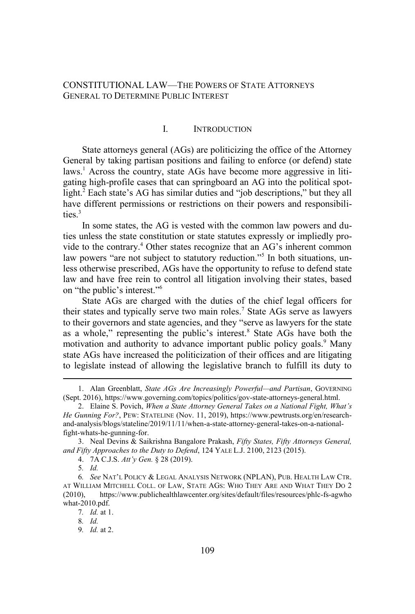### CONSTITUTIONAL LAW—THE POWERS OF STATE ATTORNEYS GENERAL TO DETERMINE PUBLIC INTEREST

#### I. INTRODUCTION

State attorneys general (AGs) are politicizing the office of the Attorney General by taking partisan positions and failing to enforce (or defend) state laws.<sup>1</sup> Across the country, state AGs have become more aggressive in litigating high-profile cases that can springboard an AG into the political spotlight.<sup>2</sup> Each state's AG has similar duties and "job descriptions," but they all have different permissions or restrictions on their powers and responsibilities. $3$ 

In some states, the AG is vested with the common law powers and duties unless the state constitution or state statutes expressly or impliedly provide to the contrary.<sup>4</sup> Other states recognize that an AG's inherent common law powers "are not subject to statutory reduction."<sup>5</sup> In both situations, unless otherwise prescribed, AGs have the opportunity to refuse to defend state law and have free rein to control all litigation involving their states, based on "the public's interest."<sup>6</sup>

State AGs are charged with the duties of the chief legal officers for their states and typically serve two main roles.<sup>7</sup> State AGs serve as lawyers to their governors and state agencies, and they "serve as lawyers for the state as a whole," representing the public's interest.<sup>8</sup> State AGs have both the motivation and authority to advance important public policy goals.<sup>9</sup> Many state AGs have increased the politicization of their offices and are litigating to legislate instead of allowing the legislative branch to fulfill its duty to

<sup>1.</sup> Alan Greenblatt, *State AGs Are Increasingly Powerful—and Partisan*, GOVERNING (Sept. 2016), https://www.governing.com/topics/politics/gov-state-attorneys-general.html.

<sup>2.</sup> Elaine S. Povich, *When a State Attorney General Takes on a National Fight, What's He Gunning For?*, PEW: STATELINE (Nov. 11, 2019), https://www.pewtrusts.org/en/researchand-analysis/blogs/stateline/2019/11/11/when-a-state-attorney-general-takes-on-a-nationalfight-whats-he-gunning-for.

<sup>3.</sup> Neal Devins & Saikrishna Bangalore Prakash, *Fifty States, Fifty Attorneys General, and Fifty Approaches to the Duty to Defend*, 124 YALE L.J. 2100, 2123 (2015).

<sup>4. 7</sup>A C.J.S. *Att'y Gen.* § 28 (2019).

<sup>5</sup>*. Id.*

<sup>6</sup>*. See* NAT'L POLICY & LEGAL ANALYSIS NETWORK (NPLAN), PUB. HEALTH LAW CTR. AT WILLIAM MITCHELL COLL. OF LAW, STATE AGS: WHO THEY ARE AND WHAT THEY DO 2 (2010), https://www.publichealthlawcenter.org/sites/default/files/resources/phlc-fs-agwho what-2010.pdf.

<sup>7</sup>*. Id.* at 1.

<sup>8</sup>*. Id.*

<sup>9</sup>*. Id.* at 2.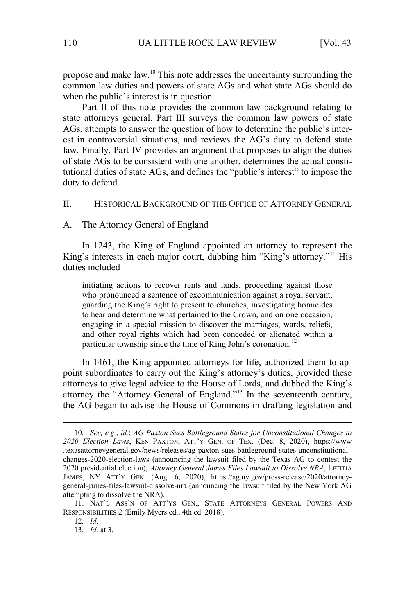propose and make law.<sup>10</sup> This note addresses the uncertainty surrounding the common law duties and powers of state AGs and what state AGs should do when the public's interest is in question.

Part II of this note provides the common law background relating to state attorneys general. Part III surveys the common law powers of state AGs, attempts to answer the question of how to determine the public's interest in controversial situations, and reviews the AG's duty to defend state law. Finally, Part IV provides an argument that proposes to align the duties of state AGs to be consistent with one another, determines the actual constitutional duties of state AGs, and defines the "public's interest" to impose the duty to defend.

#### II. HISTORICAL BACKGROUND OF THE OFFICE OF ATTORNEY GENERAL

A. The Attorney General of England

In 1243, the King of England appointed an attorney to represent the King's interests in each major court, dubbing him "King's attorney."<sup>11</sup> His duties included

initiating actions to recover rents and lands, proceeding against those who pronounced a sentence of excommunication against a royal servant, guarding the King's right to present to churches, investigating homicides to hear and determine what pertained to the Crown, and on one occasion, engaging in a special mission to discover the marriages, wards, reliefs, and other royal rights which had been conceded or alienated within a particular township since the time of King John's coronation.<sup>12</sup>

In 1461, the King appointed attorneys for life, authorized them to appoint subordinates to carry out the King's attorney's duties, provided these attorneys to give legal advice to the House of Lords, and dubbed the King's attorney the "Attorney General of England."<sup>13</sup> In the seventeenth century, the AG began to advise the House of Commons in drafting legislation and

<sup>10</sup>*. See, e.g.*, *id.*; *AG Paxton Sues Battleground States for Unconstitutional Changes to 2020 Election Laws*, KEN PAXTON, ATT'Y GEN. OF TEX. (Dec. 8, 2020), https://www .texasattorneygeneral.gov/news/releases/ag-paxton-sues-battleground-states-unconstitutionalchanges-2020-election-laws (announcing the lawsuit filed by the Texas AG to contest the 2020 presidential election); *Attorney General James Files Lawsuit to Dissolve NRA*, LETITIA JAMES, NY ATT'Y GEN. (Aug. 6, 2020), https://ag.ny.gov/press-release/2020/attorneygeneral-james-files-lawsuit-dissolve-nra (announcing the lawsuit filed by the New York AG attempting to dissolve the NRA).

<sup>11.</sup> NAT'L ASS'N OF ATT'YS GEN., STATE ATTORNEYS GENERAL POWERS AND RESPONSIBILITIES 2 (Emily Myers ed., 4th ed. 2018).

<sup>12</sup>*. Id.*

<sup>13</sup>*. Id.* at 3.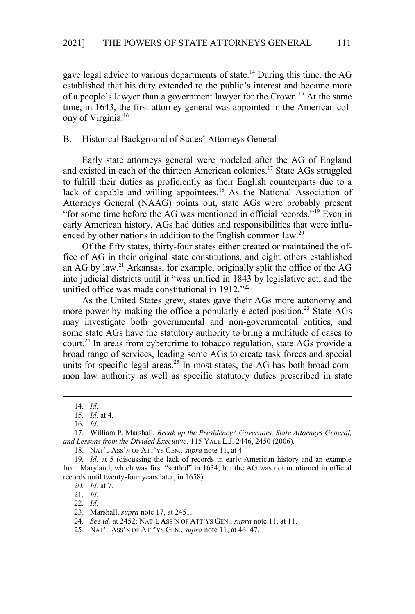gave legal advice to various departments of state.<sup>14</sup> During this time, the AG established that his duty extended to the public's interest and became more of a people's lawyer than a government lawyer for the Crown.<sup>15</sup> At the same time, in 1643, the first attorney general was appointed in the American colony of Virginia.<sup>16</sup>

#### B. Historical Background of States' Attorneys General

Early state attorneys general were modeled after the AG of England and existed in each of the thirteen American colonies.<sup>17</sup> State AGs struggled to fulfill their duties as proficiently as their English counterparts due to a lack of capable and willing appointees.<sup>18</sup> As the National Association of Attorneys General (NAAG) points out, state AGs were probably present "for some time before the AG was mentioned in official records."<sup>19</sup> Even in early American history, AGs had duties and responsibilities that were influenced by other nations in addition to the English common law.<sup>20</sup>

Of the fifty states, thirty-four states either created or maintained the office of AG in their original state constitutions, and eight others established an AG by law.<sup>21</sup> Arkansas, for example, originally split the office of the AG into judicial districts until it "was unified in 1843 by legislative act, and the unified office was made constitutional in 1912."<sup>22</sup>

As the United States grew, states gave their AGs more autonomy and more power by making the office a popularly elected position.<sup>23</sup> State AGs may investigate both governmental and non-governmental entities, and some state AGs have the statutory authority to bring a multitude of cases to court.<sup>24</sup> In areas from cybercrime to tobacco regulation, state AGs provide a broad range of services, leading some AGs to create task forces and special units for specific legal areas.<sup>25</sup> In most states, the AG has both broad common law authority as well as specific statutory duties prescribed in state

18. NAT'L ASS'N OF ATT'YS GEN., *supra* note 11, at 4.

22*. Id.*

<sup>14</sup>*. Id.* 

<sup>15</sup>*. Id.* at 4.

<sup>16</sup>*. Id.*

<sup>17.</sup> William P. Marshall, *Break up the Presidency? Governors, State Attorneys General, and Lessons from the Divided Executive*, 115 YALE L.J. 2446, 2450 (2006)*.*

<sup>19</sup>*. Id.* at 5 (discussing the lack of records in early American history and an example from Maryland, which was first "settled" in 1634, but the AG was not mentioned in official records until twenty-four years later, in 1658).

<sup>20</sup>*. Id.* at 7.

<sup>21</sup>*. Id.*

<sup>23.</sup> Marshall, *supra* note 17, at 2451.

<sup>24</sup>*. See id.* at 2452; NAT'L ASS'N OF ATT'YS GEN., *supra* note 11, at 11.

<sup>25.</sup> NAT'L ASS'N OF ATT'YS GEN., *supra* note 11, at 46–47.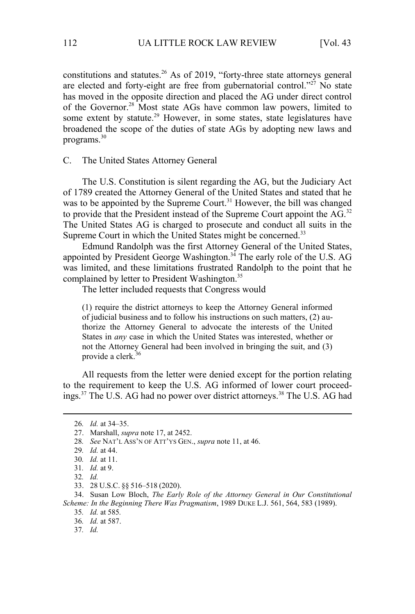constitutions and statutes.<sup>26</sup> As of 2019, "forty-three state attorneys general are elected and forty-eight are free from gubernatorial control."<sup>27</sup> No state has moved in the opposite direction and placed the AG under direct control of the Governor.<sup>28</sup> Most state AGs have common law powers, limited to some extent by statute.<sup>29</sup> However, in some states, state legislatures have broadened the scope of the duties of state AGs by adopting new laws and programs.<sup>30</sup>

C. The United States Attorney General

The U.S. Constitution is silent regarding the AG, but the Judiciary Act of 1789 created the Attorney General of the United States and stated that he was to be appointed by the Supreme Court.<sup>31</sup> However, the bill was changed to provide that the President instead of the Supreme Court appoint the  $AG<sup>32</sup>$ The United States AG is charged to prosecute and conduct all suits in the Supreme Court in which the United States might be concerned.<sup>33</sup>

Edmund Randolph was the first Attorney General of the United States, appointed by President George Washington.<sup>34</sup> The early role of the U.S. AG was limited, and these limitations frustrated Randolph to the point that he complained by letter to President Washington.<sup>35</sup>

The letter included requests that Congress would

(1) require the district attorneys to keep the Attorney General informed of judicial business and to follow his instructions on such matters, (2) authorize the Attorney General to advocate the interests of the United States in *any* case in which the United States was interested, whether or not the Attorney General had been involved in bringing the suit, and (3) provide a clerk.<sup>36</sup>

All requests from the letter were denied except for the portion relating to the requirement to keep the U.S. AG informed of lower court proceedings.<sup>37</sup> The U.S. AG had no power over district attorneys.<sup>38</sup> The U.S. AG had

34. Susan Low Bloch, *The Early Role of the Attorney General in Our Constitutional Scheme: In the Beginning There Was Pragmatism*, 1989 DUKE L.J. 561, 564, 583 (1989).

35*. Id.* at 585*.* 

36*. Id.* at 587.

37*. Id.*

<sup>26</sup>*. Id.* at 34–35.

<sup>27.</sup> Marshall, *supra* note 17, at 2452.

<sup>28</sup>*. See* NAT'L ASS'N OF ATT'YS GEN., *supra* note 11, at 46.

<sup>29</sup>*. Id.* at 44.

<sup>30</sup>*. Id.* at 11.

<sup>31</sup>*. Id.* at 9.

<sup>32</sup>*. Id.*

<sup>33. 28</sup> U.S.C. §§ 516–518 (2020).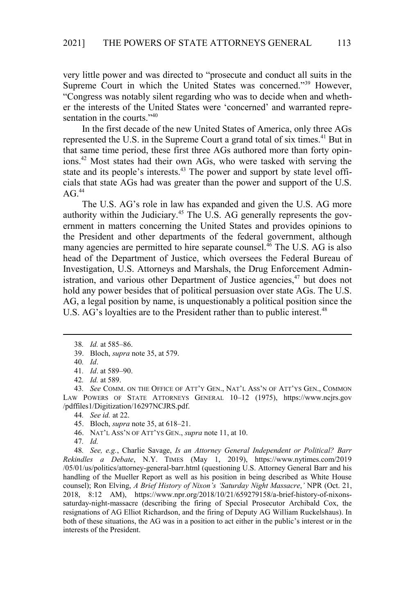very little power and was directed to "prosecute and conduct all suits in the Supreme Court in which the United States was concerned."<sup>39</sup> However, "Congress was notably silent regarding who was to decide when and whether the interests of the United States were 'concerned' and warranted representation in the courts."<sup>40</sup>

In the first decade of the new United States of America, only three AGs represented the U.S. in the Supreme Court a grand total of six times.<sup>41</sup> But in that same time period, these first three AGs authored more than forty opinions.<sup>42</sup> Most states had their own AGs, who were tasked with serving the state and its people's interests.<sup>43</sup> The power and support by state level officials that state AGs had was greater than the power and support of the U.S.  $AG<sub>44</sub>$ 

The U.S. AG's role in law has expanded and given the U.S. AG more authority within the Judiciary.<sup>45</sup> The U.S. AG generally represents the government in matters concerning the United States and provides opinions to the President and other departments of the federal government, although many agencies are permitted to hire separate counsel.<sup>46</sup> The U.S. AG is also head of the Department of Justice, which oversees the Federal Bureau of Investigation, U.S. Attorneys and Marshals, the Drug Enforcement Administration, and various other Department of Justice agencies,  $47$  but does not hold any power besides that of political persuasion over state AGs. The U.S. AG, a legal position by name, is unquestionably a political position since the U.S. AG's loyalties are to the President rather than to public interest.<sup>48</sup>

46. NAT'L ASS'N OF ATT'YS GEN., *supra* note 11, at 10.

<sup>38</sup>*. Id.* at 585–86.

<sup>39.</sup> Bloch, *supra* note 35, at 579.

<sup>40</sup>*. Id*.

<sup>41</sup>*. Id*. at 589–90.

<sup>42</sup>*. Id.* at 589.

<sup>43</sup>*. See* COMM. ON THE OFFICE OF ATT'Y GEN., NAT'L ASS'N OF ATT'YS GEN., COMMON LAW POWERS OF STATE ATTORNEYS GENERAL 10–12 (1975), https://www.ncjrs.gov /pdffiles1/Digitization/16297NCJRS.pdf.

<sup>44</sup>*. See id.* at 22.

<sup>45.</sup> Bloch, *supra* note 35, at 618–21.

<sup>47</sup>*. Id.*

<sup>48</sup>*. See, e.g.*, Charlie Savage, *Is an Attorney General Independent or Political? Barr Rekindles a Debate*, N.Y. TIMES (May 1, 2019), https://www.nytimes.com/2019 /05/01/us/politics/attorney-general-barr.html (questioning U.S. Attorney General Barr and his handling of the Mueller Report as well as his position in being described as White House counsel); Ron Elving, *A Brief History of Nixon's 'Saturday Night Massacre*,*'* NPR (Oct. 21, 2018, 8:12 AM), https://www.npr.org/2018/10/21/659279158/a-brief-history-of-nixonssaturday-night-massacre (describing the firing of Special Prosecutor Archibald Cox, the resignations of AG Elliot Richardson, and the firing of Deputy AG William Ruckelshaus). In both of these situations, the AG was in a position to act either in the public's interest or in the interests of the President.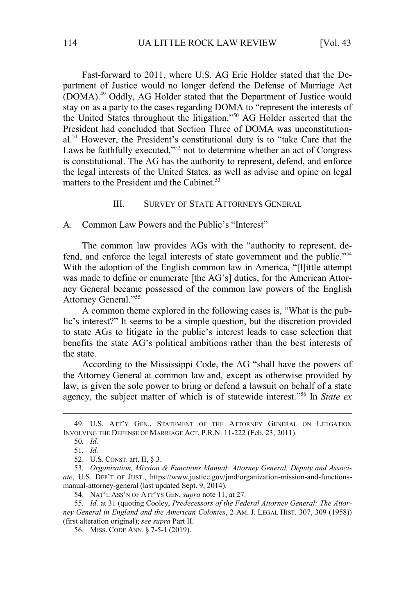Fast-forward to 2011, where U.S. AG Eric Holder stated that the Department of Justice would no longer defend the Defense of Marriage Act (DOMA).<sup>49</sup> Oddly, AG Holder stated that the Department of Justice would stay on as a party to the cases regarding DOMA to "represent the interests of the United States throughout the litigation."<sup>50</sup> AG Holder asserted that the President had concluded that Section Three of DOMA was unconstitutional.<sup>51</sup> However, the President's constitutional duty is to "take Care that the Laws be faithfully executed,"<sup>52</sup> not to determine whether an act of Congress is constitutional. The AG has the authority to represent, defend, and enforce the legal interests of the United States, as well as advise and opine on legal matters to the President and the Cabinet. $53$ 

#### III. SURVEY OF STATE ATTORNEYS GENERAL

A. Common Law Powers and the Public's "Interest"

The common law provides AGs with the "authority to represent, defend, and enforce the legal interests of state government and the public."<sup>54</sup> With the adoption of the English common law in America, "[l]ittle attempt was made to define or enumerate [the AG's] duties, for the American Attorney General became possessed of the common law powers of the English Attorney General."<sup>55</sup>

A common theme explored in the following cases is, "What is the public's interest?" It seems to be a simple question, but the discretion provided to state AGs to litigate in the public's interest leads to case selection that benefits the state AG's political ambitions rather than the best interests of the state.

According to the Mississippi Code, the AG "shall have the powers of the Attorney General at common law and, except as otherwise provided by law, is given the sole power to bring or defend a lawsuit on behalf of a state agency, the subject matter of which is of statewide interest." <sup>56</sup> In *State ex* 

55*. Id.* at 31 (quoting Cooley, *Predecessors of the Federal Attorney General: The Attorney General in England and the American Colonies*, 2 AM. J. LEGAL HIST. 307, 309 (1958)) (first alteration original); *see supra* Part II.

56. MISS. CODE ANN. § 7-5-1 (2019).

<sup>49.</sup> U.S. ATT'Y GEN., STATEMENT OF THE ATTORNEY GENERAL ON LITIGATION INVOLVING THE DEFENSE OF MARRIAGE ACT, P.R.N. 11-222 (Feb. 23, 2011).

<sup>50</sup>*. Id.*

<sup>51</sup>*. Id.*

<sup>52.</sup> U.S. CONST. art. II, § 3.

<sup>53</sup>*. Organization, Mission & Functions Manual: Attorney General, Deputy and Associate*, U.S. DEP'T OF JUST., https://www.justice.gov/jmd/organization-mission-and-functionsmanual-attorney-general (last updated Sept. 9, 2014).

<sup>54.</sup> NAT'L ASS'N OF ATT'YS GEN, *supra* note 11, at 27.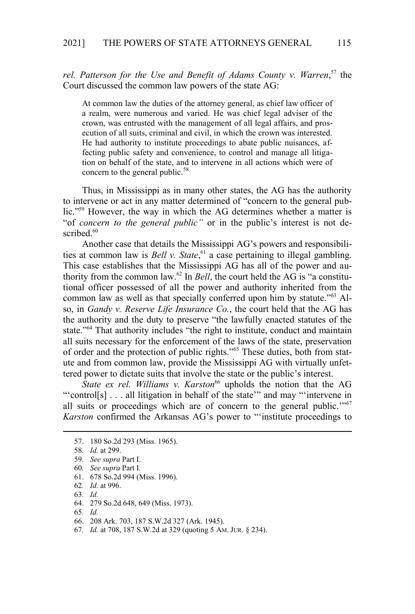rel. Patterson for the Use and Benefit of Adams County v. Warren,<sup>57</sup> the Court discussed the common law powers of the state AG:

At common law the duties of the attorney general, as chief law officer of a realm, were numerous and varied. He was chief legal adviser of the crown, was entrusted with the management of all legal affairs, and prosecution of all suits, criminal and civil, in which the crown was interested. He had authority to institute proceedings to abate public nuisances, affecting public safety and convenience, to control and manage all litigation on behalf of the state, and to intervene in all actions which were of concern to the general public.<sup>58</sup>

Thus, in Mississippi as in many other states, the AG has the authority to intervene or act in any matter determined of "concern to the general public."<sup>59</sup> However, the way in which the AG determines whether a matter is "of *concern to the general public"* or in the public's interest is not described.<sup>60</sup>

Another case that details the Mississippi AG's powers and responsibilities at common law is *Bell v. State*, <sup>61</sup> a case pertaining to illegal gambling. This case establishes that the Mississippi AG has all of the power and authority from the common law.62 In *Bell*, the court held the AG is "a constitutional officer possessed of all the power and authority inherited from the common law as well as that specially conferred upon him by statute."<sup>63</sup> Also, in *Gandy v. Reserve Life Insurance Co.*, the court held that the AG has the authority and the duty to preserve "the lawfully enacted statutes of the state."<sup>64</sup> That authority includes "the right to institute, conduct and maintain all suits necessary for the enforcement of the laws of the state, preservation of order and the protection of public rights."65 These duties, both from statute and from common law, provide the Mississippi AG with virtually unfettered power to dictate suits that involve the state or the public's interest.

*State ex rel. Williams v. Karston*<sup>66</sup> upholds the notion that the AG "'control[s] . . . all litigation in behalf of the state'" and may "'intervene in all suits or proceedings which are of concern to the general public.'"<sup>67</sup> *Karston* confirmed the Arkansas AG's power to "'institute proceedings to

63*. Id.* 

65*. Id.*

67*. Id.* at 708, 187 S.W.2d at 329 (quoting 5 AM. JUR. § 234).

<sup>57. 180</sup> So.2d 293 (Miss. 1965).

<sup>58</sup>*. Id.* at 299.

<sup>59</sup>*. See supra* Part I.

<sup>60</sup>*. See supra* Part I*.*

<sup>61. 678</sup> So.2d 994 (Miss. 1996).

<sup>62</sup>*. Id.* at 996.

<sup>64. 279</sup> So.2d 648, 649 (Miss. 1973).

<sup>66. 208</sup> Ark. 703, 187 S.W.2d 327 (Ark. 1945).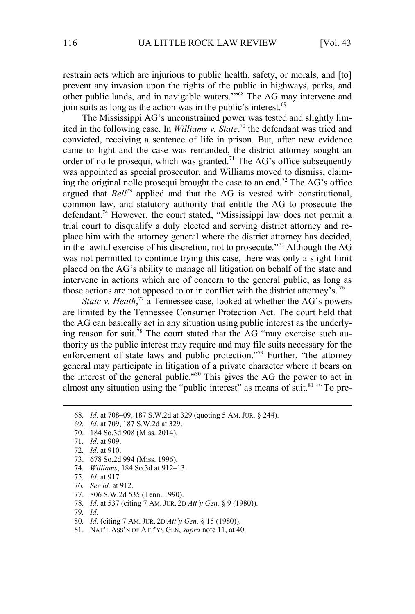restrain acts which are injurious to public health, safety, or morals, and [to] prevent any invasion upon the rights of the public in highways, parks, and other public lands, and in navigable waters.'"<sup>68</sup> The AG may intervene and join suits as long as the action was in the public's interest.<sup>69</sup>

The Mississippi AG's unconstrained power was tested and slightly limited in the following case. In *Williams v. State*, <sup>70</sup> the defendant was tried and convicted, receiving a sentence of life in prison. But, after new evidence came to light and the case was remanded, the district attorney sought an order of nolle prosequi, which was granted.<sup>71</sup> The AG's office subsequently was appointed as special prosecutor, and Williams moved to dismiss, claiming the original nolle prosequi brought the case to an end.<sup>72</sup> The AG's office argued that *Bell*<sup>73</sup> applied and that the AG is vested with constitutional, common law, and statutory authority that entitle the AG to prosecute the defendant.<sup>74</sup> However, the court stated, "Mississippi law does not permit a trial court to disqualify a duly elected and serving district attorney and replace him with the attorney general where the district attorney has decided, in the lawful exercise of his discretion, not to prosecute."<sup>75</sup> Although the AG was not permitted to continue trying this case, there was only a slight limit placed on the AG's ability to manage all litigation on behalf of the state and intervene in actions which are of concern to the general public, as long as those actions are not opposed to or in conflict with the district attorney's.<sup>76</sup>

*State v. Heath*,<sup>77</sup> a Tennessee case, looked at whether the AG's powers are limited by the Tennessee Consumer Protection Act. The court held that the AG can basically act in any situation using public interest as the underlying reason for suit.<sup>78</sup> The court stated that the AG "may exercise such authority as the public interest may require and may file suits necessary for the enforcement of state laws and public protection."<sup>79</sup> Further, "the attorney general may participate in litigation of a private character where it bears on the interest of the general public."<sup>80</sup> This gives the AG the power to act in almost any situation using the "public interest" as means of suit.<sup>81</sup> "To pre-

69*. Id.* at 709, 187 S.W.2d at 329.

- 73. 678 So.2d 994 (Miss. 1996).
- 74*. Williams*, 184 So.3d at 912–13.
- 75*. Id.* at 917.
- 76*. See id.* at 912.
- 77. 806 S.W.2d 535 (Tenn. 1990).
- 78*. Id.* at 537 (citing 7 AM. JUR. 2D *Att'y Gen.* § 9 (1980)).
- 79*. Id.*
- 80*. Id.* (citing 7 AM. JUR. 2D *Att'y Gen.* § 15 (1980)).
- 81. NAT'L ASS'N OF ATT'YS GEN, *supra* note 11, at 40.

<sup>68</sup>*. Id.* at 708–09, 187 S.W.2d at 329 (quoting 5 AM. JUR. § 244).

<sup>70. 184</sup> So.3d 908 (Miss. 2014).

<sup>71</sup>*. Id.* at 909.

<sup>72</sup>*. Id.* at 910.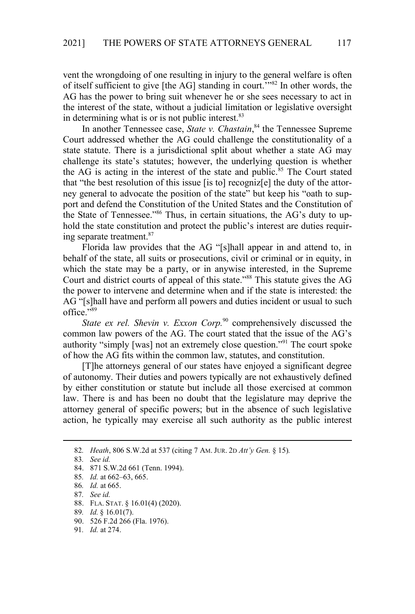vent the wrongdoing of one resulting in injury to the general welfare is often of itself sufficient to give [the AG] standing in court.'"<sup>82</sup> In other words, the AG has the power to bring suit whenever he or she sees necessary to act in the interest of the state, without a judicial limitation or legislative oversight in determining what is or is not public interest.<sup>83</sup>

In another Tennessee case, *State v. Chastain*, <sup>84</sup> the Tennessee Supreme Court addressed whether the AG could challenge the constitutionality of a state statute. There is a jurisdictional split about whether a state AG may challenge its state's statutes; however, the underlying question is whether the AG is acting in the interest of the state and public.<sup>85</sup> The Court stated that "the best resolution of this issue [is to] recogniz[e] the duty of the attorney general to advocate the position of the state" but keep his "oath to support and defend the Constitution of the United States and the Constitution of the State of Tennessee."<sup>86</sup> Thus, in certain situations, the AG's duty to uphold the state constitution and protect the public's interest are duties requiring separate treatment.<sup>87</sup>

Florida law provides that the AG "[s]hall appear in and attend to, in behalf of the state, all suits or prosecutions, civil or criminal or in equity, in which the state may be a party, or in anywise interested, in the Supreme Court and district courts of appeal of this state."<sup>88</sup> This statute gives the AG the power to intervene and determine when and if the state is interested: the AG "[s]hall have and perform all powers and duties incident or usual to such office."<sup>89</sup>

*State ex rel. Shevin v. Exxon Corp.*<sup>90</sup> comprehensively discussed the common law powers of the AG. The court stated that the issue of the AG's authority "simply [was] not an extremely close question."<sup>91</sup> The court spoke of how the AG fits within the common law, statutes, and constitution.

[T]he attorneys general of our states have enjoyed a significant degree of autonomy. Their duties and powers typically are not exhaustively defined by either constitution or statute but include all those exercised at common law. There is and has been no doubt that the legislature may deprive the attorney general of specific powers; but in the absence of such legislative action, he typically may exercise all such authority as the public interest

<sup>82</sup>*. Heath*, 806 S.W.2d at 537 (citing 7 AM. JUR. 2D *Att'y Gen.* § 15)*.*

<sup>83</sup>*. See id.*

<sup>84. 871</sup> S.W.2d 661 (Tenn. 1994).

<sup>85</sup>*. Id.* at 662–63, 665.

<sup>86</sup>*. Id.* at 665.

<sup>87</sup>*. See id.*

<sup>88.</sup> FLA. STAT. § 16.01(4) (2020).

<sup>89</sup>*. Id.* § 16.01(7).

<sup>90. 526</sup> F.2d 266 (Fla. 1976).

<sup>91</sup>*. Id.* at 274.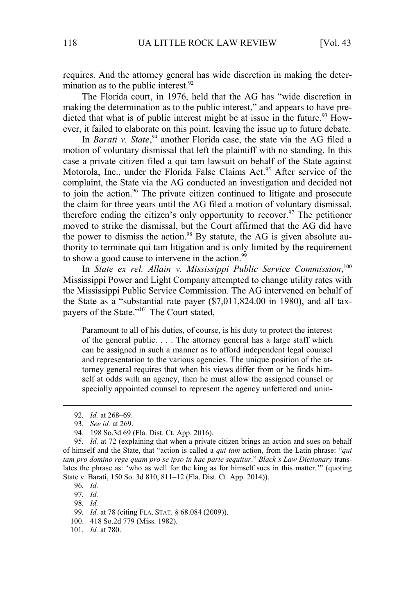requires. And the attorney general has wide discretion in making the determination as to the public interest. $92$ 

The Florida court, in 1976, held that the AG has "wide discretion in making the determination as to the public interest," and appears to have predicted that what is of public interest might be at issue in the future.<sup>93</sup> However, it failed to elaborate on this point, leaving the issue up to future debate.

In *Barati v. State*, <sup>94</sup> another Florida case, the state via the AG filed a motion of voluntary dismissal that left the plaintiff with no standing. In this case a private citizen filed a qui tam lawsuit on behalf of the State against Motorola, Inc., under the Florida False Claims Act.<sup>95</sup> After service of the complaint, the State via the AG conducted an investigation and decided not to join the action.<sup>96</sup> The private citizen continued to litigate and prosecute the claim for three years until the AG filed a motion of voluntary dismissal, therefore ending the citizen's only opportunity to recover.<sup>97</sup> The petitioner moved to strike the dismissal, but the Court affirmed that the AG did have the power to dismiss the action.<sup>98</sup> By statute, the AG is given absolute authority to terminate qui tam litigation and is only limited by the requirement to show a good cause to intervene in the action.<sup>99</sup>

In *State ex rel. Allain v. Mississippi Public Service Commission*,<sup>100</sup> Mississippi Power and Light Company attempted to change utility rates with the Mississippi Public Service Commission. The AG intervened on behalf of the State as a "substantial rate payer (\$7,011,824.00 in 1980), and all taxpayers of the State."<sup>101</sup> The Court stated,

Paramount to all of his duties, of course, is his duty to protect the interest of the general public. . . . The attorney general has a large staff which can be assigned in such a manner as to afford independent legal counsel and representation to the various agencies. The unique position of the attorney general requires that when his views differ from or he finds himself at odds with an agency, then he must allow the assigned counsel or specially appointed counsel to represent the agency unfettered and unin-

97*. Id.*

98*. Id.*

<sup>92</sup>*. Id.* at 268–69.

<sup>93</sup>*. See id.* at 269.

<sup>94. 198</sup> So.3d 69 (Fla. Dist. Ct. App. 2016).

<sup>95</sup>*. Id.* at 72 (explaining that when a private citizen brings an action and sues on behalf of himself and the State, that "action is called a *qui tam* action, from the Latin phrase: "*qui tam pro domino rege quam pro se ipso in hac parte sequitur*." *Black's Law Dictionary* translates the phrase as: 'who as well for the king as for himself sues in this matter.'" (quoting State v. Barati, 150 So. 3d 810, 811–12 (Fla. Dist. Ct. App. 2014)).

<sup>96</sup>*. Id.*

<sup>99</sup>*. Id.* at 78 (citing FLA. STAT. § 68.084 (2009)).

<sup>100. 418</sup> So.2d 779 (Miss. 1982).

<sup>101</sup>*. Id.* at 780.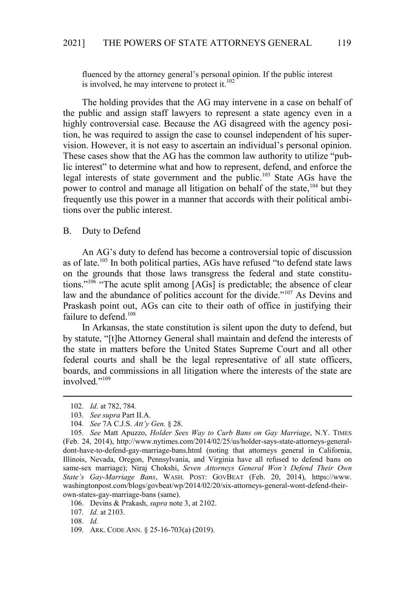fluenced by the attorney general's personal opinion. If the public interest is involved, he may intervene to protect it.<sup>102</sup>

The holding provides that the AG may intervene in a case on behalf of the public and assign staff lawyers to represent a state agency even in a highly controversial case. Because the AG disagreed with the agency position, he was required to assign the case to counsel independent of his supervision. However, it is not easy to ascertain an individual's personal opinion. These cases show that the AG has the common law authority to utilize "public interest" to determine what and how to represent, defend, and enforce the legal interests of state government and the public.<sup>103</sup> State AGs have the power to control and manage all litigation on behalf of the state,<sup>104</sup> but they frequently use this power in a manner that accords with their political ambitions over the public interest.

#### B. Duty to Defend

An AG's duty to defend has become a controversial topic of discussion as of late.<sup>105</sup> In both political parties, AGs have refused "to defend state laws on the grounds that those laws transgress the federal and state constitutions."<sup>106</sup> "The acute split among [AGs] is predictable; the absence of clear law and the abundance of politics account for the divide."<sup>107</sup> As Devins and Praskash point out, AGs can cite to their oath of office in justifying their failure to defend.<sup>108</sup>

In Arkansas, the state constitution is silent upon the duty to defend, but by statute, "[t]he Attorney General shall maintain and defend the interests of the state in matters before the United States Supreme Court and all other federal courts and shall be the legal representative of all state officers, boards, and commissions in all litigation where the interests of the state are involved*.*" 109

107*. Id.* at 2103.

<sup>102</sup>*. Id.* at 782, 784.

<sup>103</sup>*. See supra* Part II.A.

<sup>104</sup>*. See* 7A C.J.S. *Att'y Gen.* § 28.

<sup>105</sup>*. See* Matt Apuzzo, *Holder Sees Way to Curb Bans on Gay Marriage*, N.Y. TIMES (Feb. 24, 2014), http://www.nytimes.com/2014/02/25/us/holder-says-state-attorneys-generaldont-have-to-defend-gay-marriage-bans.html (noting that attorneys general in California, Illinois, Nevada, Oregon, Pennsylvania, and Virginia have all refused to defend bans on same-sex marriage); Niraj Chokshi, *Seven Attorneys General Won't Defend Their Own State's Gay-Marriage Bans*, WASH. POST: GOVBEAT (Feb. 20, 2014), https://www. washingtonpost.com/blogs/govbeat/wp/2014/02/20/six-attorneys-general-wont-defend-theirown-states-gay-marriage-bans (same).

<sup>106.</sup> Devins & Prakash, *supra* note 3, at 2102.

<sup>108</sup>*. Id.*

<sup>109.</sup> ARK. CODE ANN. § 25-16-703(a) (2019).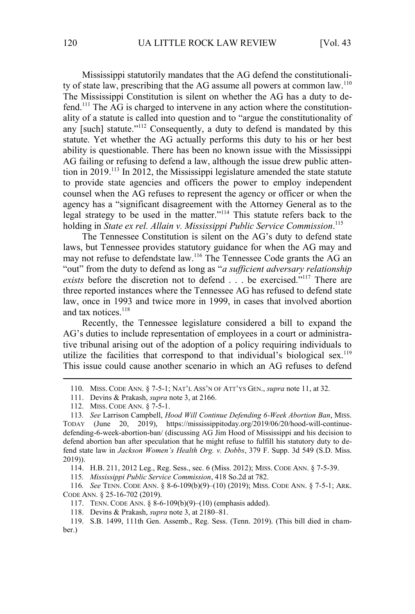Mississippi statutorily mandates that the AG defend the constitutionality of state law, prescribing that the AG assume all powers at common law.<sup>110</sup> The Mississippi Constitution is silent on whether the AG has a duty to defend.111 The AG is charged to intervene in any action where the constitutionality of a statute is called into question and to "argue the constitutionality of any [such] statute."<sup>112</sup> Consequently, a duty to defend is mandated by this statute. Yet whether the AG actually performs this duty to his or her best ability is questionable. There has been no known issue with the Mississippi AG failing or refusing to defend a law, although the issue drew public attention in 2019.<sup>113</sup> In 2012, the Mississippi legislature amended the state statute to provide state agencies and officers the power to employ independent counsel when the AG refuses to represent the agency or officer or when the agency has a "significant disagreement with the Attorney General as to the legal strategy to be used in the matter."<sup>114</sup> This statute refers back to the holding in *State ex rel. Allain v. Mississippi Public Service Commission*. 115

The Tennessee Constitution is silent on the AG's duty to defend state laws, but Tennessee provides statutory guidance for when the AG may and may not refuse to defendstate law.<sup>116</sup> The Tennessee Code grants the AG an "out" from the duty to defend as long as "*a sufficient adversary relationship exists* before the discretion not to defend . . . be exercised."<sup>117</sup> There are three reported instances where the Tennessee AG has refused to defend state law, once in 1993 and twice more in 1999, in cases that involved abortion and tax notices.<sup>118</sup>

Recently, the Tennessee legislature considered a bill to expand the AG's duties to include representation of employees in a court or administrative tribunal arising out of the adoption of a policy requiring individuals to utilize the facilities that correspond to that individual's biological sex.<sup>119</sup> This issue could cause another scenario in which an AG refuses to defend

115*. Mississippi Public Service Commission*, 418 So.2d at 782.

116*. See* TENN. CODE ANN. § 8-6-109(b)(9)–(10) (2019); MISS. CODE ANN. § 7-5-1; ARK. CODE ANN. § 25-16-702 (2019).

- 117. TENN. CODE ANN. § 8-6-109(b)(9)–(10) (emphasis added).
- 118. Devins & Prakash, *supra* note 3, at 2180–81.

<sup>110.</sup> MISS. CODE ANN. § 7-5-1; NAT'L ASS'N OF ATT'YS GEN., *supra* note 11, at 32.

<sup>111.</sup> Devins & Prakash, *supra* note 3, at 2166.

<sup>112.</sup> MISS. CODE ANN. § 7-5-1.

<sup>113</sup>*. See* Larrison Campbell, *Hood Will Continue Defending 6-Week Abortion Ban*, MISS. TODAY (June 20, 2019), https://mississippitoday.org/2019/06/20/hood-will-continuedefending-6-week-abortion-ban/ (discussing AG Jim Hood of Mississippi and his decision to defend abortion ban after speculation that he might refuse to fulfill his statutory duty to defend state law in *Jackson Women's Health Org. v. Dobbs*, 379 F. Supp. 3d 549 (S.D. Miss. 2019)).

<sup>114.</sup> H.B. 211, 2012 Leg., Reg. Sess., sec. 6 (Miss. 2012); MISS. CODE ANN. § 7-5-39.

<sup>119.</sup> S.B. 1499, 111th Gen. Assemb., Reg. Sess. (Tenn. 2019). (This bill died in chamber.)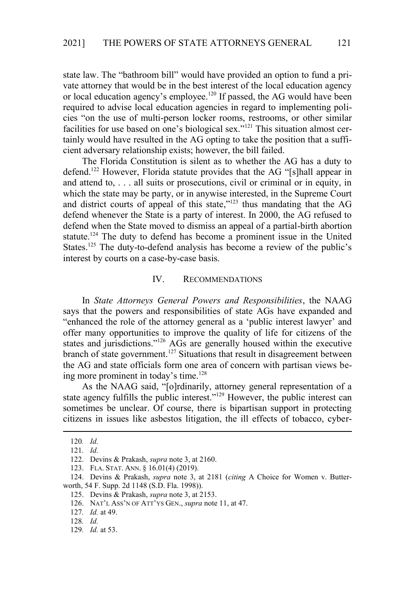state law. The "bathroom bill" would have provided an option to fund a private attorney that would be in the best interest of the local education agency or local education agency's employee.<sup>120</sup> If passed, the AG would have been required to advise local education agencies in regard to implementing policies "on the use of multi-person locker rooms, restrooms, or other similar facilities for use based on one's biological sex."<sup>121</sup> This situation almost certainly would have resulted in the AG opting to take the position that a sufficient adversary relationship exists; however, the bill failed.

The Florida Constitution is silent as to whether the AG has a duty to defend.<sup>122</sup> However, Florida statute provides that the AG "[s]hall appear in and attend to, . . . all suits or prosecutions, civil or criminal or in equity, in which the state may be party, or in anywise interested, in the Supreme Court and district courts of appeal of this state,"<sup>123</sup> thus mandating that the AG defend whenever the State is a party of interest. In 2000, the AG refused to defend when the State moved to dismiss an appeal of a partial-birth abortion statute.<sup>124</sup> The duty to defend has become a prominent issue in the United States.<sup>125</sup> The duty-to-defend analysis has become a review of the public's interest by courts on a case-by-case basis.

#### IV. RECOMMENDATIONS

In *State Attorneys General Powers and Responsibilities*, the NAAG says that the powers and responsibilities of state AGs have expanded and "enhanced the role of the attorney general as a 'public interest lawyer' and offer many opportunities to improve the quality of life for citizens of the states and jurisdictions."<sup>126</sup> AGs are generally housed within the executive branch of state government.<sup>127</sup> Situations that result in disagreement between the AG and state officials form one area of concern with partisan views being more prominent in today's time.<sup>128</sup>

As the NAAG said, "[o]rdinarily, attorney general representation of a state agency fulfills the public interest."<sup>129</sup> However, the public interest can sometimes be unclear. Of course, there is bipartisan support in protecting citizens in issues like asbestos litigation, the ill effects of tobacco, cyber-

<sup>120</sup>*. Id.*

<sup>121</sup>*. Id.*

<sup>122.</sup> Devins & Prakash, *supra* note 3, at 2160.

<sup>123.</sup> FLA. STAT. ANN. § 16.01(4) (2019).

<sup>124.</sup> Devins & Prakash, *supra* note 3, at 2181 (*citing* A Choice for Women v. Butterworth, 54 F. Supp. 2d 1148 (S.D. Fla. 1998)).

<sup>125.</sup> Devins & Prakash, *supra* note 3, at 2153.

<sup>126.</sup> NAT'L ASS'N OF ATT'YS GEN., *supra* note 11, at 47.

<sup>127</sup>*. Id.* at 49.

<sup>128</sup>*. Id.*

<sup>129</sup>*. Id.* at 53.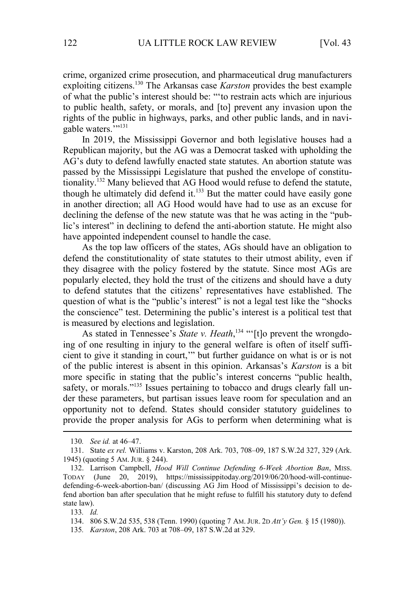crime, organized crime prosecution, and pharmaceutical drug manufacturers exploiting citizens.<sup>130</sup> The Arkansas case *Karston* provides the best example of what the public's interest should be: "'to restrain acts which are injurious to public health, safety, or morals, and [to] prevent any invasion upon the rights of the public in highways, parks, and other public lands, and in navigable waters.<sup>7</sup>"<sup>131</sup>

In 2019, the Mississippi Governor and both legislative houses had a Republican majority, but the AG was a Democrat tasked with upholding the AG's duty to defend lawfully enacted state statutes. An abortion statute was passed by the Mississippi Legislature that pushed the envelope of constitutionality.<sup>132</sup> Many believed that AG Hood would refuse to defend the statute, though he ultimately did defend it.<sup>133</sup> But the matter could have easily gone in another direction; all AG Hood would have had to use as an excuse for declining the defense of the new statute was that he was acting in the "public's interest" in declining to defend the anti-abortion statute. He might also have appointed independent counsel to handle the case.

As the top law officers of the states, AGs should have an obligation to defend the constitutionality of state statutes to their utmost ability, even if they disagree with the policy fostered by the statute. Since most AGs are popularly elected, they hold the trust of the citizens and should have a duty to defend statutes that the citizens' representatives have established. The question of what is the "public's interest" is not a legal test like the "shocks the conscience" test. Determining the public's interest is a political test that is measured by elections and legislation.

As stated in Tennessee's *State v. Heath*,<sup>134</sup> "[t]o prevent the wrongdoing of one resulting in injury to the general welfare is often of itself sufficient to give it standing in court,'" but further guidance on what is or is not of the public interest is absent in this opinion. Arkansas's *Karston* is a bit more specific in stating that the public's interest concerns "public health, safety, or morals."<sup>135</sup> Issues pertaining to tobacco and drugs clearly fall under these parameters, but partisan issues leave room for speculation and an opportunity not to defend. States should consider statutory guidelines to provide the proper analysis for AGs to perform when determining what is

133*. Id.*

134. 806 S.W.2d 535, 538 (Tenn. 1990) (quoting 7 AM. JUR. 2D *Att'y Gen.* § 15 (1980)).

135*. Karston*, 208 Ark. 703 at 708–09, 187 S.W.2d at 329.

<sup>130</sup>*. See id.* at 46–47.

<sup>131.</sup> State *ex rel.* Williams v. Karston, 208 Ark. 703, 708–09, 187 S.W.2d 327, 329 (Ark. 1945) (quoting 5 AM. JUR. § 244).

<sup>132.</sup> Larrison Campbell, *Hood Will Continue Defending 6-Week Abortion Ban*, MISS. TODAY (June 20, 2019), https://mississippitoday.org/2019/06/20/hood-will-continuedefending-6-week-abortion-ban/ (discussing AG Jim Hood of Mississippi's decision to defend abortion ban after speculation that he might refuse to fulfill his statutory duty to defend state law).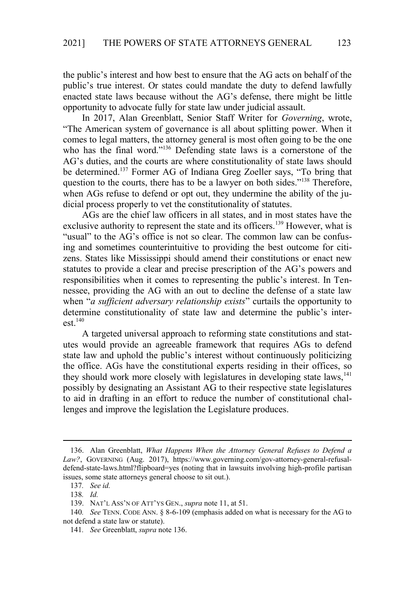the public's interest and how best to ensure that the AG acts on behalf of the public's true interest. Or states could mandate the duty to defend lawfully enacted state laws because without the AG's defense, there might be little opportunity to advocate fully for state law under judicial assault.

In 2017, Alan Greenblatt, Senior Staff Writer for *Governing*, wrote, "The American system of governance is all about splitting power. When it comes to legal matters, the attorney general is most often going to be the one who has the final word."<sup>136</sup> Defending state laws is a cornerstone of the AG's duties, and the courts are where constitutionality of state laws should be determined.<sup>137</sup> Former AG of Indiana Greg Zoeller says, "To bring that question to the courts, there has to be a lawyer on both sides."<sup>138</sup> Therefore, when AGs refuse to defend or opt out, they undermine the ability of the judicial process properly to vet the constitutionality of statutes.

AGs are the chief law officers in all states, and in most states have the exclusive authority to represent the state and its officers.<sup>139</sup> However, what is "usual" to the AG's office is not so clear. The common law can be confusing and sometimes counterintuitive to providing the best outcome for citizens. States like Mississippi should amend their constitutions or enact new statutes to provide a clear and precise prescription of the AG's powers and responsibilities when it comes to representing the public's interest. In Tennessee, providing the AG with an out to decline the defense of a state law when "*a sufficient adversary relationship exists*" curtails the opportunity to determine constitutionality of state law and determine the public's inter $est.<sup>140</sup>$ 

A targeted universal approach to reforming state constitutions and statutes would provide an agreeable framework that requires AGs to defend state law and uphold the public's interest without continuously politicizing the office. AGs have the constitutional experts residing in their offices, so they should work more closely with legislatures in developing state laws,<sup>141</sup> possibly by designating an Assistant AG to their respective state legislatures to aid in drafting in an effort to reduce the number of constitutional challenges and improve the legislation the Legislature produces.

<sup>136.</sup> Alan Greenblatt, *What Happens When the Attorney General Refuses to Defend a Law?*, GOVERNING (Aug. 2017), https://www.governing.com/gov-attorney-general-refusaldefend-state-laws.html?flipboard=yes (noting that in lawsuits involving high-profile partisan issues, some state attorneys general choose to sit out.).

<sup>137</sup>*. See id.*

<sup>138</sup>*. Id.*

<sup>139.</sup> NAT'L ASS'N OF ATT'YS GEN., *supra* note 11, at 51.

<sup>140</sup>*. See* TENN. CODE ANN. § 8-6-109 (emphasis added on what is necessary for the AG to not defend a state law or statute).

<sup>141</sup>*. See* Greenblatt, *supra* note 136.